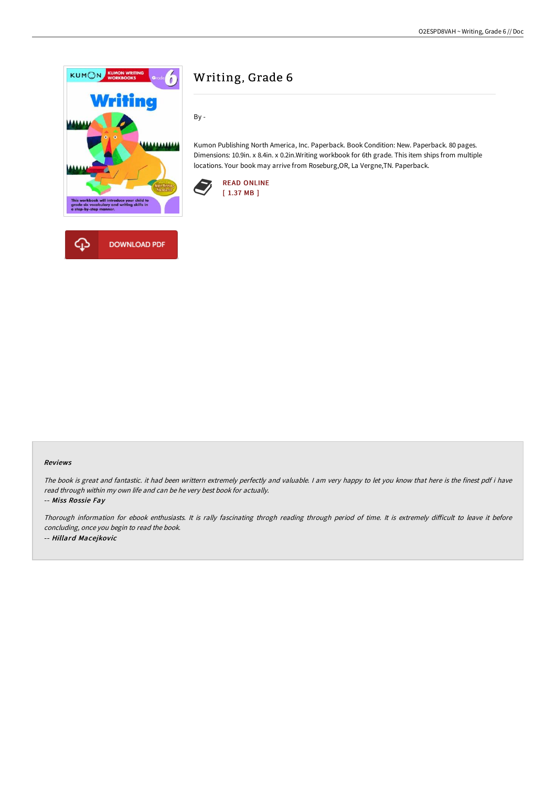

# Writing, Grade 6

By -

Kumon Publishing North America, Inc. Paperback. Book Condition: New. Paperback. 80 pages. Dimensions: 10.9in. x 8.4in. x 0.2in.Writing workbook for 6th grade. This item ships from multiple locations. Your book may arrive from Roseburg,OR, La Vergne,TN. Paperback.



#### Reviews

The book is great and fantastic. it had been writtern extremely perfectly and valuable. <sup>I</sup> am very happy to let you know that here is the finest pdf i have read through within my own life and can be he very best book for actually.

-- Miss Rossie Fay

Thorough information for ebook enthusiasts. It is rally fascinating throgh reading through period of time. It is extremely difficult to leave it before concluding, once you begin to read the book. -- Hillard Macejkovic